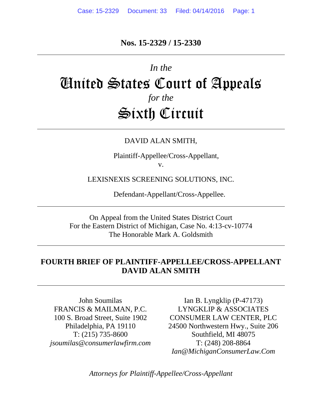# **Nos. 15-2329 / 15-2330**

# *In the* United States Court of Appeals *for the* Sixth Circuit

#### DAVID ALAN SMITH,

Plaintiff-Appellee/Cross-Appellant, v.

LEXISNEXIS SCREENING SOLUTIONS, INC.

Defendant-Appellant/Cross-Appellee.

On Appeal from the United States District Court For the Eastern District of Michigan, Case No. 4:13-cv-10774 The Honorable Mark A. Goldsmith

# **FOURTH BRIEF OF PLAINTIFF-APPELLEE/CROSS-APPELLANT DAVID ALAN SMITH**

John Soumilas FRANCIS & MAILMAN, P.C. 100 S. Broad Street, Suite 1902 Philadelphia, PA 19110 T: (215) 735-8600 *[jsoumilas@consumerlawfirm.com](mailto:jsoumilas@consumerlawfirm.com)*

Ian B. Lyngklip (P-47173) LYNGKLIP & ASSOCIATES CONSUMER LAW CENTER, PLC 24500 Northwestern Hwy., Suite 206 Southfield, MI 48075 T: (248) 208-8864 *Ian@MichiganConsumerLaw.Com*

*Attorneys for Plaintiff-Appellee/Cross-Appellant*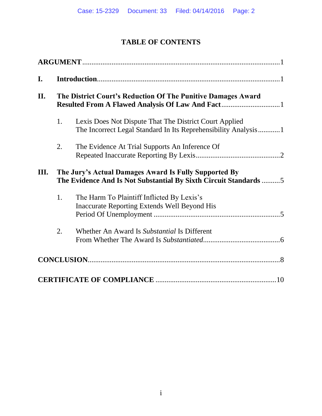# **TABLE OF CONTENTS**

| I.   |                                                                                                                           |                                                                                                                          |  |
|------|---------------------------------------------------------------------------------------------------------------------------|--------------------------------------------------------------------------------------------------------------------------|--|
| II.  | The District Court's Reduction Of The Punitive Damages Award                                                              |                                                                                                                          |  |
|      | 1.                                                                                                                        | Lexis Does Not Dispute That The District Court Applied<br>The Incorrect Legal Standard In Its Reprehensibility Analysis1 |  |
|      | 2.                                                                                                                        | The Evidence At Trial Supports An Inference Of                                                                           |  |
| III. | The Jury's Actual Damages Award Is Fully Supported By<br>The Evidence And Is Not Substantial By Sixth Circuit Standards 5 |                                                                                                                          |  |
|      | 1.                                                                                                                        | The Harm To Plaintiff Inflicted By Lexis's<br><b>Inaccurate Reporting Extends Well Beyond His</b>                        |  |
|      | 2.                                                                                                                        | Whether An Award Is Substantial Is Different                                                                             |  |
|      |                                                                                                                           |                                                                                                                          |  |
|      |                                                                                                                           |                                                                                                                          |  |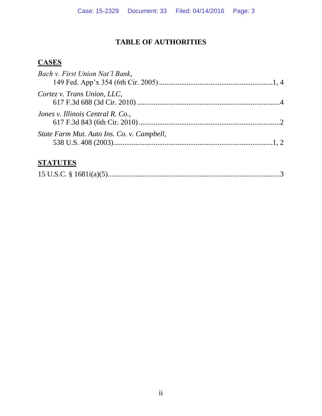# **TABLE OF AUTHORITIES**

# **CASES**

| Bach v. First Union Nat'l Bank,            |  |
|--------------------------------------------|--|
| Cortez v. Trans Union, LLC,                |  |
| Jones v. Illinois Central R. Co.,          |  |
| State Farm Mut. Auto Ins. Co. v. Campbell, |  |
|                                            |  |

# **STATUTES**

|--|--|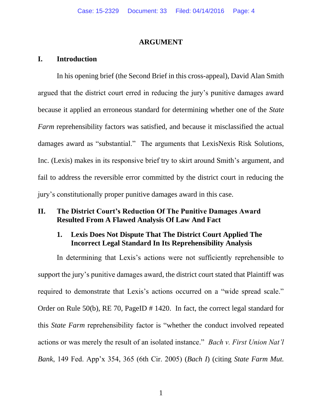#### **ARGUMENT**

#### **I. Introduction**

In his opening brief (the Second Brief in this cross-appeal), David Alan Smith argued that the district court erred in reducing the jury's punitive damages award because it applied an erroneous standard for determining whether one of the *State Farm* reprehensibility factors was satisfied, and because it misclassified the actual damages award as "substantial." The arguments that LexisNexis Risk Solutions, Inc. (Lexis) makes in its responsive brief try to skirt around Smith's argument, and fail to address the reversible error committed by the district court in reducing the jury's constitutionally proper punitive damages award in this case.

#### **II. The District Court's Reduction Of The Punitive Damages Award Resulted From A Flawed Analysis Of Law And Fact**

#### **1. Lexis Does Not Dispute That The District Court Applied The Incorrect Legal Standard In Its Reprehensibility Analysis**

In determining that Lexis's actions were not sufficiently reprehensible to support the jury's punitive damages award, the district court stated that Plaintiff was required to demonstrate that Lexis's actions occurred on a "wide spread scale." Order on Rule 50(b), RE 70, PageID # 1420. In fact, the correct legal standard for this *State Farm* reprehensibility factor is "whether the conduct involved repeated actions or was merely the result of an isolated instance." *Bach v. First Union Nat'l Bank*, 149 Fed. App'x 354, 365 (6th Cir. 2005) (*Bach I*) (citing *State Farm Mut.*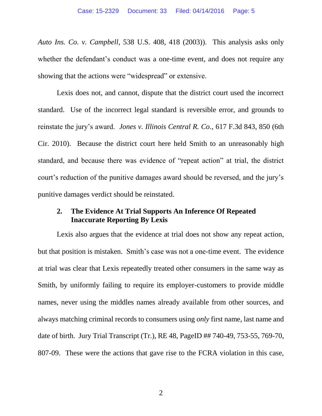*Auto Ins. Co. v. Campbell*, 538 U.S. 408, 418 (2003)). This analysis asks only whether the defendant's conduct was a one-time event, and does not require any showing that the actions were "widespread" or extensive.

Lexis does not, and cannot, dispute that the district court used the incorrect standard. Use of the incorrect legal standard is reversible error, and grounds to reinstate the jury's award. *Jones v. Illinois Central R. Co.*, 617 F.3d 843, 850 (6th Cir. 2010). Because the district court here held Smith to an unreasonably high standard, and because there was evidence of "repeat action" at trial, the district court's reduction of the punitive damages award should be reversed, and the jury's punitive damages verdict should be reinstated.

## **2. The Evidence At Trial Supports An Inference Of Repeated Inaccurate Reporting By Lexis**

Lexis also argues that the evidence at trial does not show any repeat action, but that position is mistaken. Smith's case was not a one-time event. The evidence at trial was clear that Lexis repeatedly treated other consumers in the same way as Smith, by uniformly failing to require its employer-customers to provide middle names, never using the middles names already available from other sources, and always matching criminal records to consumers using *only* first name, last name and date of birth. Jury Trial Transcript (Tr.), RE 48, PageID ## 740-49, 753-55, 769-70, 807-09. These were the actions that gave rise to the FCRA violation in this case,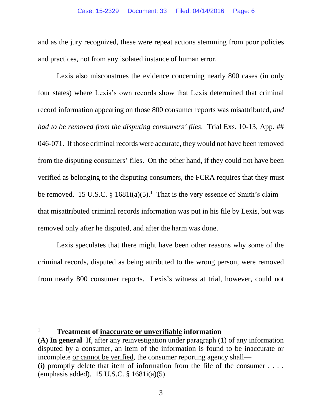and as the jury recognized, these were repeat actions stemming from poor policies and practices, not from any isolated instance of human error.

Lexis also misconstrues the evidence concerning nearly 800 cases (in only four states) where Lexis's own records show that Lexis determined that criminal record information appearing on those 800 consumer reports was misattributed, *and had to be removed from the disputing consumers' files*. Trial Exs. 10-13, App. ## 046-071. If those criminal records were accurate, they would not have been removed from the disputing consumers' files. On the other hand, if they could not have been verified as belonging to the disputing consumers, the FCRA requires that they must be removed. 15 U.S.C. § 1681 $i(a)(5)$ .<sup>1</sup> That is the very essence of Smith's claim – that misattributed criminal records information was put in his file by Lexis, but was removed only after he disputed, and after the harm was done.

Lexis speculates that there might have been other reasons why some of the criminal records, disputed as being attributed to the wrong person, were removed from nearly 800 consumer reports. Lexis's witness at trial, however, could not

 $\overline{a}$ 

<sup>1</sup> **Treatment of inaccurate or unverifiable information**

**<sup>(</sup>A) In general** If, after any reinvestigation under paragraph (1) of any information disputed by a consumer, an item of the information is found to be inaccurate or incomplete or cannot be verified, the consumer reporting agency shall— **(i)** promptly delete that item of information from the file of the consumer . . . . (emphasis added). 15 U.S.C. § 1681i(a)(5).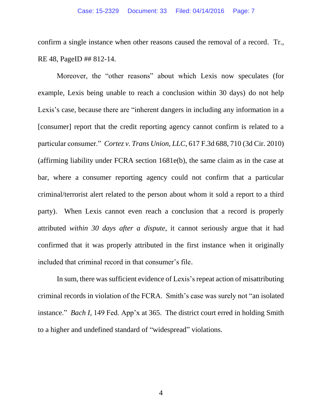confirm a single instance when other reasons caused the removal of a record. Tr., RE 48, PageID ## 812-14.

Moreover, the "other reasons" about which Lexis now speculates (for example, Lexis being unable to reach a conclusion within 30 days) do not help Lexis's case, because there are "inherent dangers in including any information in a [consumer] report that the credit reporting agency cannot confirm is related to a particular consumer." *Cortez v. Trans Union, LLC*, 617 F.3d 688, 710 (3d Cir. 2010) (affirming liability under FCRA section 1681e(b), the same claim as in the case at bar, where a consumer reporting agency could not confirm that a particular criminal/terrorist alert related to the person about whom it sold a report to a third party). When Lexis cannot even reach a conclusion that a record is properly attributed *within 30 days after a dispute*, it cannot seriously argue that it had confirmed that it was properly attributed in the first instance when it originally included that criminal record in that consumer's file.

In sum, there was sufficient evidence of Lexis's repeat action of misattributing criminal records in violation of the FCRA. Smith's case was surely not "an isolated instance." *Bach I*, 149 Fed. App'x at 365. The district court erred in holding Smith to a higher and undefined standard of "widespread" violations.

4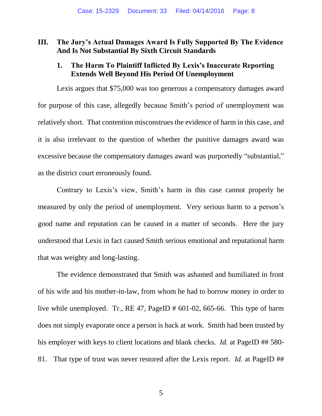# **III. The Jury's Actual Damages Award Is Fully Supported By The Evidence And Is Not Substantial By Sixth Circuit Standards**

## **1. The Harm To Plaintiff Inflicted By Lexis's Inaccurate Reporting Extends Well Beyond His Period Of Unemployment**

Lexis argues that \$75,000 was too generous a compensatory damages award for purpose of this case, allegedly because Smith's period of unemployment was relatively short. That contention misconstrues the evidence of harm in this case, and it is also irrelevant to the question of whether the punitive damages award was excessive because the compensatory damages award was purportedly "substantial," as the district court erroneously found.

Contrary to Lexis's view, Smith's harm in this case cannot properly be measured by only the period of unemployment. Very serious harm to a person's good name and reputation can be caused in a matter of seconds. Here the jury understood that Lexis in fact caused Smith serious emotional and reputational harm that was weighty and long-lasting.

The evidence demonstrated that Smith was ashamed and humiliated in front of his wife and his mother-in-law, from whom he had to borrow money in order to live while unemployed. Tr., RE 47, PageID # 601-02, 665-66. This type of harm does not simply evaporate once a person is back at work. Smith had been trusted by his employer with keys to client locations and blank checks. *Id.* at PageID ## 580-81. That type of trust was never restored after the Lexis report. *Id.* at PageID ##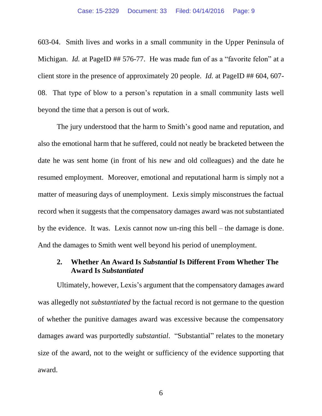603-04. Smith lives and works in a small community in the Upper Peninsula of Michigan. *Id.* at PageID ## 576-77. He was made fun of as a "favorite felon" at a client store in the presence of approximately 20 people. *Id.* at PageID ## 604, 607-08. That type of blow to a person's reputation in a small community lasts well beyond the time that a person is out of work.

The jury understood that the harm to Smith's good name and reputation, and also the emotional harm that he suffered, could not neatly be bracketed between the date he was sent home (in front of his new and old colleagues) and the date he resumed employment. Moreover, emotional and reputational harm is simply not a matter of measuring days of unemployment. Lexis simply misconstrues the factual record when it suggests that the compensatory damages award was not substantiated by the evidence. It was. Lexis cannot now un-ring this bell – the damage is done. And the damages to Smith went well beyond his period of unemployment.

# **2. Whether An Award Is** *Substantial* **Is Different From Whether The Award Is** *Substantiated*

Ultimately, however, Lexis's argument that the compensatory damages award was allegedly not *substantiated* by the factual record is not germane to the question of whether the punitive damages award was excessive because the compensatory damages award was purportedly *substantial*. "Substantial" relates to the monetary size of the award, not to the weight or sufficiency of the evidence supporting that award.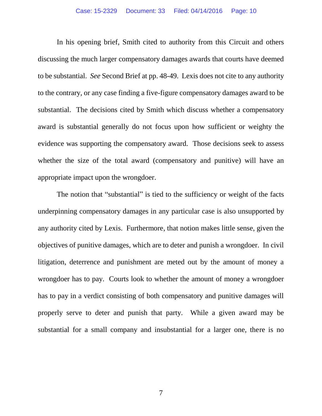In his opening brief, Smith cited to authority from this Circuit and others discussing the much larger compensatory damages awards that courts have deemed to be substantial. *See* Second Brief at pp. 48-49. Lexis does not cite to any authority to the contrary, or any case finding a five-figure compensatory damages award to be substantial. The decisions cited by Smith which discuss whether a compensatory award is substantial generally do not focus upon how sufficient or weighty the evidence was supporting the compensatory award. Those decisions seek to assess whether the size of the total award (compensatory and punitive) will have an appropriate impact upon the wrongdoer.

The notion that "substantial" is tied to the sufficiency or weight of the facts underpinning compensatory damages in any particular case is also unsupported by any authority cited by Lexis. Furthermore, that notion makes little sense, given the objectives of punitive damages, which are to deter and punish a wrongdoer. In civil litigation, deterrence and punishment are meted out by the amount of money a wrongdoer has to pay. Courts look to whether the amount of money a wrongdoer has to pay in a verdict consisting of both compensatory and punitive damages will properly serve to deter and punish that party. While a given award may be substantial for a small company and insubstantial for a larger one, there is no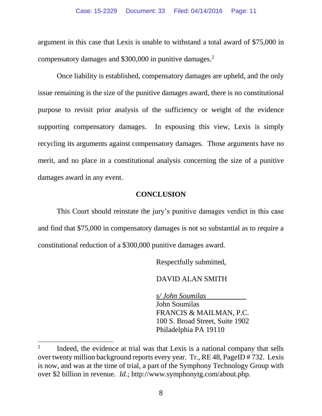argument in this case that Lexis is unable to withstand a total award of \$75,000 in compensatory damages and \$300,000 in punitive damages. 2

Once liability is established, compensatory damages are upheld, and the only issue remaining is the size of the punitive damages award, there is no constitutional purpose to revisit prior analysis of the sufficiency or weight of the evidence supporting compensatory damages. In espousing this view, Lexis is simply recycling its arguments against compensatory damages. Those arguments have no merit, and no place in a constitutional analysis concerning the size of a punitive damages award in any event.

#### **CONCLUSION**

This Court should reinstate the jury's punitive damages verdict in this case and find that \$75,000 in compensatory damages is not so substantial as to require a constitutional reduction of a \$300,000 punitive damages award.

Respectfully submitted,

DAVID ALAN SMITH

*s/ John Soumilas* John Soumilas FRANCIS & MAILMAN, P.C. 100 S. Broad Street, Suite 1902 Philadelphia PA 19110

 $\overline{a}$ 

<sup>2</sup> Indeed, the evidence at trial was that Lexis is a national company that sells over twenty million background reports every year. Tr., RE 48, PageID # 732. Lexis is now, and was at the time of trial, a part of the Symphony Technology Group with over \$2 billion in revenue. *Id.*; http://www.symphonytg.com/about.php.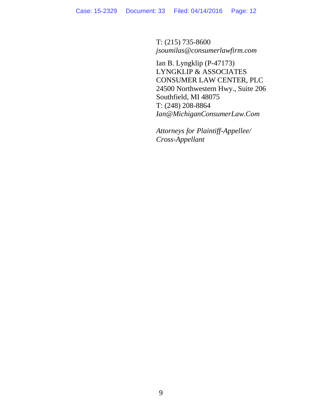T: (215) 735-8600 *[jsoumilas@consumerlawfirm.com](mailto:jsoumilas@consumerlawfirm.com)*

Ian B. Lyngklip (P-47173) LYNGKLIP & ASSOCIATES CONSUMER LAW CENTER, PLC 24500 Northwestern Hwy., Suite 206 Southfield, MI 48075 T: (248) 208-8864 *Ian@MichiganConsumerLaw.Com*

*Attorneys for Plaintiff-Appellee/ Cross-Appellant*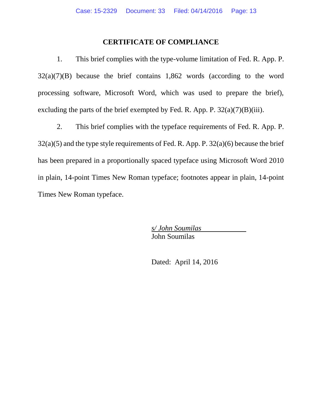# **CERTIFICATE OF COMPLIANCE**

1. This brief complies with the type-volume limitation of Fed. R. App. P.  $32(a)(7)(B)$  because the brief contains 1,862 words (according to the word processing software, Microsoft Word, which was used to prepare the brief), excluding the parts of the brief exempted by Fed. R. App. P.  $32(a)(7)(B)(iii)$ .

2. This brief complies with the typeface requirements of Fed. R. App. P. 32(a)(5) and the type style requirements of Fed. R. App. P. 32(a)(6) because the brief has been prepared in a proportionally spaced typeface using Microsoft Word 2010 in plain, 14-point Times New Roman typeface; footnotes appear in plain, 14-point Times New Roman typeface.

> *s/ John Soumilas* John Soumilas

Dated: April 14, 2016